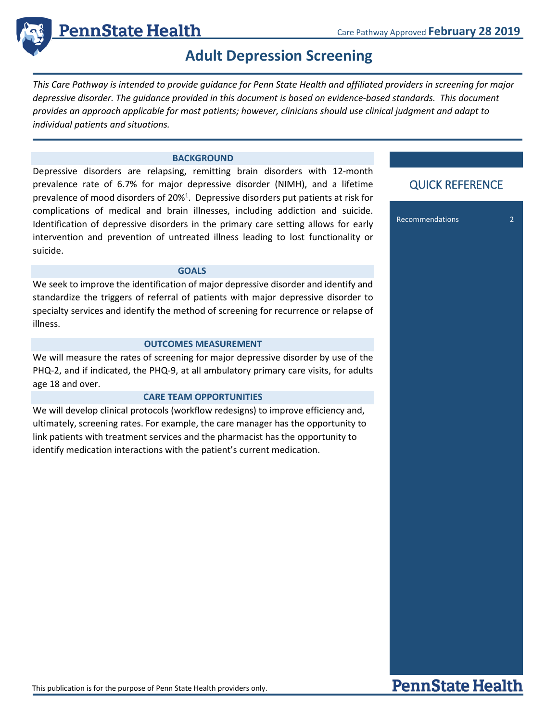



*This Care Pathway is intended to provide guidance for Penn State Health and affiliated providers in screening for major depressive disorder. The guidance provided in this document is based on evidence-based standards. This document provides an approach applicable for most patients; however, clinicians should use clinical judgment and adapt to individual patients and situations.*

#### **BACKGROUND**

<u>PennState Health</u>

Depressive disorders are relapsing, remitting brain disorders with 12-month prevalence rate of 6.7% for major depressive disorder (NIMH), and a lifetime prevalence of mood disorders of 20%<sup>1</sup>. Depressive disorders put patients at risk for complications of medical and brain illnesses, including addiction and suicide. Identification of depressive disorders in the primary care setting allows for early intervention and prevention of untreated illness leading to lost functionality or suicide.

### **GOALS**

We seek to improve the identification of major depressive disorder and identify and standardize the triggers of referral of patients with major depressive disorder to specialty services and identify the method of screening for recurrence or relapse of illness.

#### **OUTCOMES MEASUREMENT**

We will measure the rates of screening for major depressive disorder by use of the PHQ-2, and if indicated, the PHQ-9, at all ambulatory primary care visits, for adults age 18 and over.

#### **CARE TEAM OPPORTUNITIES**

We will develop clinical protocols (workflow redesigns) to improve efficiency and, ultimately, screening rates. For example, the care manager has the opportunity to link patients with treatment services and the pharmacist has the opportunity to identify medication interactions with the patient's current medication.

# QUICK REFERENCE

Recommendations 2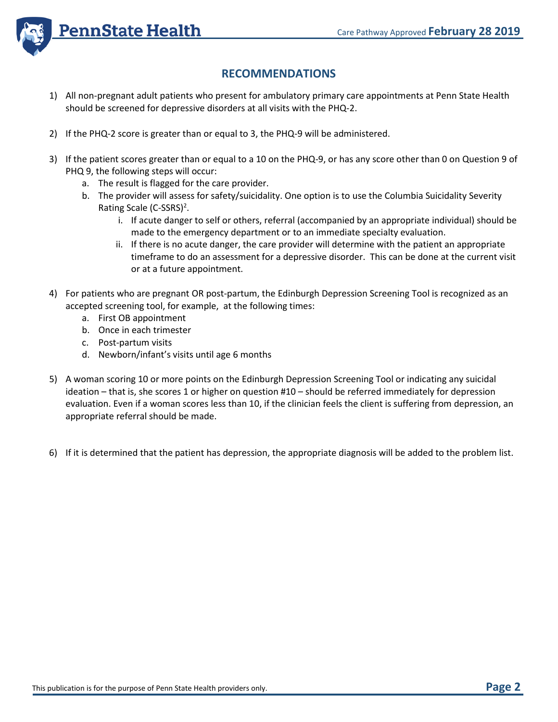

# **RECOMMENDATIONS**

- 1) All non-pregnant adult patients who present for ambulatory primary care appointments at Penn State Health should be screened for depressive disorders at all visits with the PHQ-2.
- 2) If the PHQ-2 score is greater than or equal to 3, the PHQ-9 will be administered.
- 3) If the patient scores greater than or equal to a 10 on the PHQ-9, or has any score other than 0 on Question 9 of PHQ 9, the following steps will occur:
	- a. The result is flagged for the care provider.
	- b. The provider will assess for safety/suicidality. One option is to use the Columbia Suicidality Severity Rating Scale (C-SSRS)<sup>2</sup>.
		- i. If acute danger to self or others, referral (accompanied by an appropriate individual) should be made to the emergency department or to an immediate specialty evaluation.
		- ii. If there is no acute danger, the care provider will determine with the patient an appropriate timeframe to do an assessment for a depressive disorder. This can be done at the current visit or at a future appointment.
- 4) For patients who are pregnant OR post-partum, the Edinburgh Depression Screening Tool is recognized as an accepted screening tool, for example, at the following times:
	- a. First OB appointment
	- b. Once in each trimester
	- c. Post-partum visits
	- d. Newborn/infant's visits until age 6 months
- 5) A woman scoring 10 or more points on the Edinburgh Depression Screening Tool or indicating any suicidal ideation – that is, she scores 1 or higher on question #10 – should be referred immediately for depression evaluation. Even if a woman scores less than 10, if the clinician feels the client is suffering from depression, an appropriate referral should be made.
- 6) If it is determined that the patient has depression, the appropriate diagnosis will be added to the problem list.